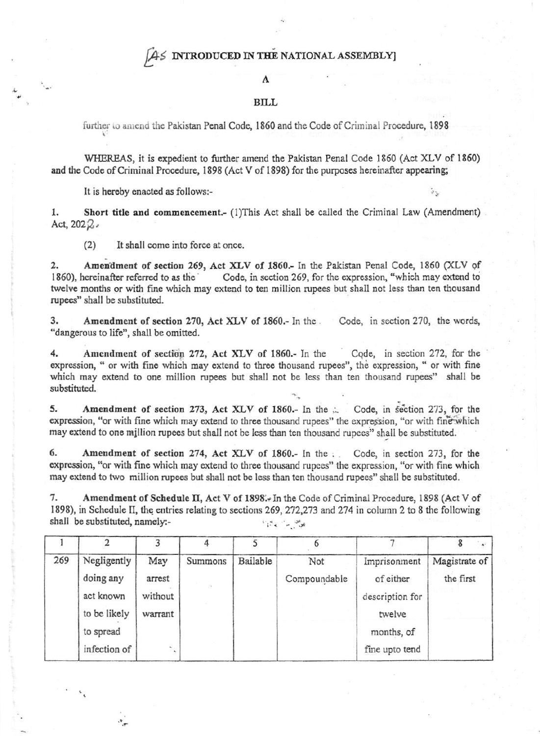## AS INTRODUCED IN THE NATIONAL ASSEMBLY]

## A

## BILL

further to amend the Pakistan Penal Code, 1860 and the Code of Criminal Procedure, 1898

WHEREAS, it is expedient to further amend the Pakistan Penal Code 1860 (Act XLV of 1860) and the Code of Criminal Procedure, 1898 (Act V of 1898) for the purposes hereinafter appearing;

It is hereby enacted as follows:-

Short title and commencement.- (1)This Act shall be called the Criminal Law (Amendment) 1. Act,  $202\%$ 

 $(2)$ It shall come into force at once.

 $\overline{2}$ Amendment of section 269, Act XLV of 1860.- In the Pakistan Penal Code, 1860 (XLV of Code, in section 269, for the expression, "which may extend to 1860), hereinafter referred to as the twelve months or with fine which may extend to ten million rupees but shall not less than ten thousand rupees" shall be substituted.

3. Amendment of section 270, Act XLV of 1860.- In the Code, in section 270, the words, "dangerous to life", shall be omitted.

4. Amendment of section 272, Act XLV of 1860.- In the Code, in section 272, for the expression, " or with fine which may extend to three thousand rupees", the expression, " or with fine which may extend to one million rupees but shall not be less than ten thousand rupees" shall be substituted.

Amendment of section 273, Act XLV of 1860.- In the ... 5. Code, in section 273, for the expression, "or with fine which may extend to three thousand rupees" the expression, "or with fine which may extend to one million rupees but shall not be less than ten thousand rupees" shall be substituted.

6. Amendment of section 274, Act XLV of 1860.- In the . Code, in section 273, for the expression, "or with fine which may extend to three thousand rupees" the expression, "or with fine which may extend to two million rupees but shall not be less than ten thousand rupees" shall be substituted.

7. Amendment of Schedule II, Act V of 1898.- In the Code of Criminal Procedure, 1898 (Act V of 1898), in Schedule II, the entries relating to sections 269, 272, 273 and 274 in column 2 to 8 the following shall be substituted, namely:- $\mathcal{W}^{\text{M}}_{\text{M}} \rightarrow \mathcal{W}^{\text{M}}_{\text{M}}$ 

 $\mathbf{I}$  $\overline{c}$ 5  $\overline{7}$ 3  $\boldsymbol{4}$ 6 8 269 Negligently Bailable May Summons Not Imprisonment Magistrate of doing any arrest Compoundable of either the first act known without description for to be likely warrant twelve to spread months, of infection of fine upto tend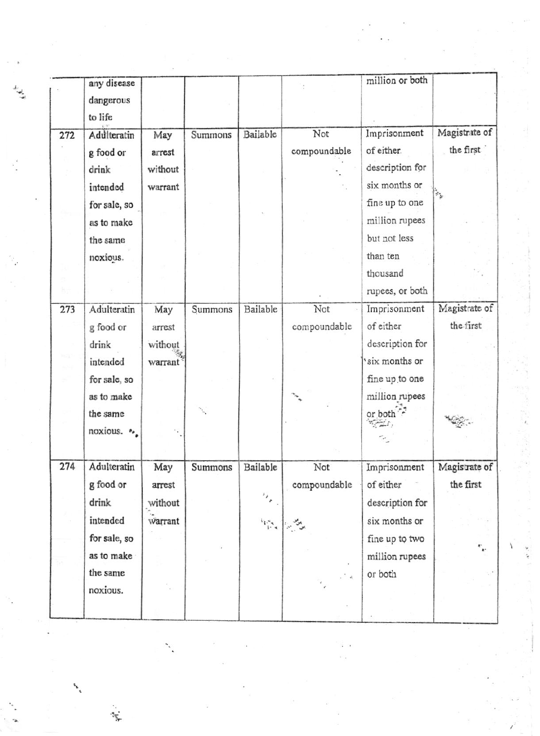|     | any disease  |         |         |                                                                                                  |              | million or both |               |
|-----|--------------|---------|---------|--------------------------------------------------------------------------------------------------|--------------|-----------------|---------------|
|     | dangerous    |         |         |                                                                                                  |              |                 |               |
|     | to life      |         |         |                                                                                                  |              |                 |               |
| 272 | Adulteratin  | May     | Summons | Bailable                                                                                         | Not          | Imprisonment    | Magistrate of |
|     | g food or    | arrest  |         |                                                                                                  | compoundable | of either.      | the first     |
|     | drink        | without |         |                                                                                                  |              | description for |               |
|     | intended     | warrant |         |                                                                                                  |              | six months or   |               |
|     | for sale, so |         |         |                                                                                                  |              | fine up to one  | ¥,            |
|     | as to make   |         |         |                                                                                                  |              | million rupees  |               |
|     | the same     |         |         |                                                                                                  |              | but not less    |               |
|     | noxious.     |         |         |                                                                                                  |              | than ten        |               |
|     |              |         |         |                                                                                                  |              | thousand        |               |
|     |              |         |         |                                                                                                  |              | rupees, or both |               |
| 273 | Adulteratin  | May     | Summons | Bailable                                                                                         | Not          | Imprisonment    | Magistrate of |
|     | g food or    | arrest  |         |                                                                                                  | compoundable | of either       | the first     |
|     | drink        | without |         |                                                                                                  |              | description for |               |
|     | intended     | warrant |         |                                                                                                  |              | six months or   |               |
|     | for sale, so |         |         |                                                                                                  |              | fine up to one  |               |
|     | as to make   |         |         |                                                                                                  |              | million rupees  |               |
|     | the same     |         |         |                                                                                                  |              | or both         |               |
|     | noxious. •   |         |         |                                                                                                  |              |                 |               |
|     |              |         |         |                                                                                                  |              |                 |               |
| 274 | Adulteratin  | May     | Summons | Bailable                                                                                         | Not          | Imprisonment    | Magis rate of |
|     | g food or    | arrest  |         |                                                                                                  | compoundable | of either       | the first     |
|     | drink        | without |         | $\mathcal{F}_{\mu}$                                                                              |              | description for |               |
|     | intended     | warrant |         | $\mathbf{F}_{\mathbf{q},\mathbf{q}}^{s_{\mathbf{q}} \mathbf{q} \mathbf{q} \mathbf{q} \mathbf{q}$ |              | six months or   |               |
|     | for sale, so |         |         |                                                                                                  |              | fine up to two  |               |
|     | as to make   |         |         |                                                                                                  |              | million rupees  |               |
|     | the same     |         |         |                                                                                                  |              | or both         |               |
|     | noxious.     |         |         |                                                                                                  |              |                 |               |
|     |              |         |         |                                                                                                  |              |                 |               |
|     |              |         |         |                                                                                                  |              |                 |               |

 $\tau_{\overline{q}_i}$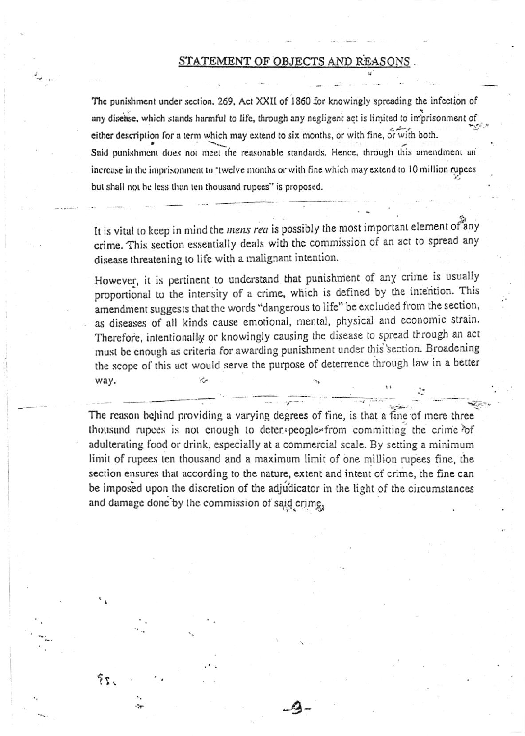## STATEMENT OF OBJECTS AND REASONS

The punishment under section. 269, Act XXII of 1860 for knowingly spreading the infection of any disease, which stands harmful to life, through any negligent act is limited to imprisonment of either description for a term which may extend to six months, or with fine, or with both. Said punishment does not meet the reasonable standards. Hence, through this amendment an increase in the imprisonment to "twelve months or with fine which may extend to 10 million rupees but shall not be less than ten thousand rupees" is proposed.

It is vital to keep in mind the mens rea is possibly the most important element of any crime. This section essentially deals with the commission of an act to spread any disease threatening to life with a malignant intention.

However, it is pertinent to understand that punishment of any crime is usually proportional to the intensity of a crime, which is defined by the intention. This amendment suggests that the words "dangerous to life" be excluded from the section, as diseases of all kinds cause emotional, mental, physical and economic strain. Therefore, intentionally or knowingly causing the disease to spread through an act must be enough as criteria for awarding punishment under this section. Broadening the scope of this act would serve the purpose of deterrence through law in a better way.

The reason behind providing a varying degrees of fine, is that a fine of mere three thousand rupees is not enough to deter people from committing the crime of adulterating food or drink, especially at a commercial scale. By setting a minimum limit of rupees ten thousand and a maximum limit of one million rupees fine, the section ensures that according to the nature, extent and intent of crime, the fine can be imposed upon the discretion of the adjudicator in the light of the circumstances and damage done by the commission of said crime.

うち、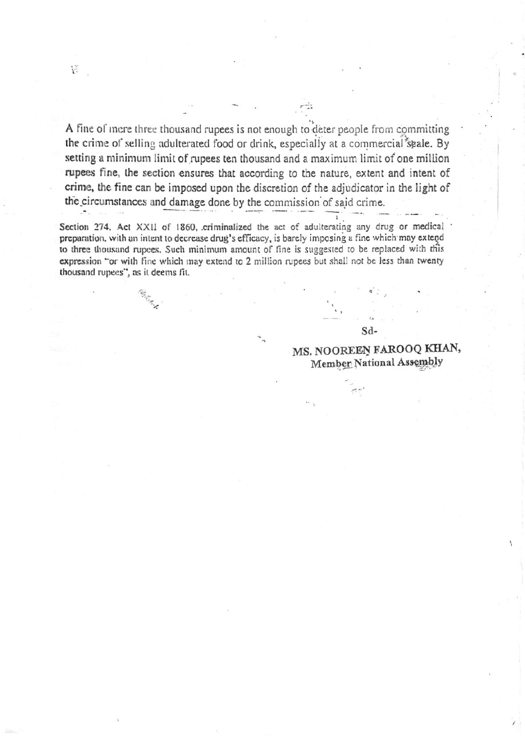A fine of mere three thousand rupees is not enough to deter people from committing the crime of selling adulterated food or drink, especially at a commercial seale. By setting a minimum limit of rupees ten thousand and a maximum limit of one million rupees fine, the section ensures that according to the nature, extent and intent of crime, the fine can be imposed upon the discretion of the adjudicator in the light of the circumstances and damage done by the commission of said crime.

Section 274. Act XXII of 1860, criminalized the act of adulterating any drug or medical preparation, with an intent to decrease drug's efficacy, is barely imposing a fine which may extend to three thousand rupees. Such minimum amount of fine is suggested to be replaced with this expression "or with fine which may extend to 2 million rupees but shall not be less than twenty thousand rupees", as it deems fit.

> MS. NOOREEN FAROOQ KHAN, Member National Assembly

Sd-

**SERVING**